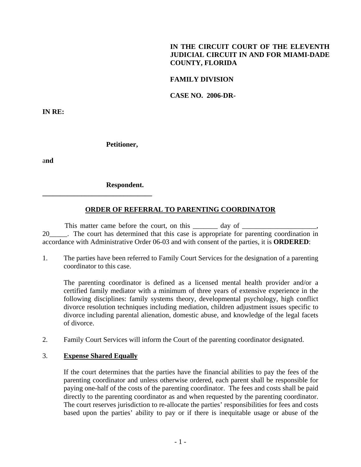# **IN THE CIRCUIT COURT OF THE ELEVENTH JUDICIAL CIRCUIT IN AND FOR MIAMI-DADE COUNTY, FLORIDA**

## **FAMILY DIVISION**

**CASE NO. 2006-DR-**

**IN RE:** 

#### **Petitioner,**

a**nd** 

### **Respondent.**

**\_\_\_\_\_\_\_\_\_\_\_\_\_\_\_\_\_\_\_\_\_\_\_\_\_\_\_\_\_\_\_** 

# **ORDER OF REFERRAL TO PARENTING COORDINATOR**

This matter came before the court, on this \_\_\_\_\_\_\_\_\_ day of \_\_\_\_\_\_\_\_\_\_\_\_\_\_\_\_\_\_\_\_ 20\_\_\_\_\_. The court has determined that this case is appropriate for parenting coordination in accordance with Administrative Order 06-03 and with consent of the parties, it is **ORDERED**:

1. The parties have been referred to Family Court Services for the designation of a parenting coordinator to this case.

 The parenting coordinator is defined as a licensed mental health provider and/or a certified family mediator with a minimum of three years of extensive experience in the following disciplines: family systems theory, developmental psychology, high conflict divorce resolution techniques including mediation, children adjustment issues specific to divorce including parental alienation, domestic abuse, and knowledge of the legal facets of divorce.

2. Family Court Services will inform the Court of the parenting coordinator designated.

#### 3. **Expense Shared Equally**

If the court determines that the parties have the financial abilities to pay the fees of the parenting coordinator and unless otherwise ordered, each parent shall be responsible for paying one-half of the costs of the parenting coordinator. The fees and costs shall be paid directly to the parenting coordinator as and when requested by the parenting coordinator. The court reserves jurisdiction to re-allocate the parties' responsibilities for fees and costs based upon the parties' ability to pay or if there is inequitable usage or abuse of the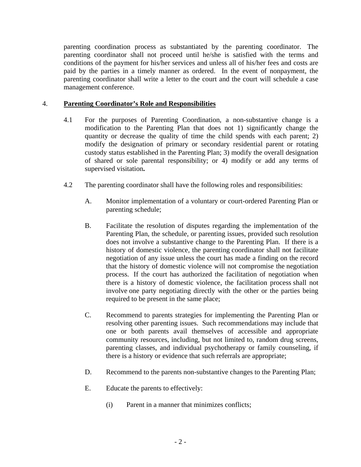parenting coordination process as substantiated by the parenting coordinator. The parenting coordinator shall not proceed until he/she is satisfied with the terms and conditions of the payment for his/her services and unless all of his/her fees and costs are paid by the parties in a timely manner as ordered. In the event of nonpayment, the parenting coordinator shall write a letter to the court and the court will schedule a case management conference.

# 4. **Parenting Coordinator's Role and Responsibilities**

- 4.1 For the purposes of Parenting Coordination, a non-substantive change is a modification to the Parenting Plan that does not 1) significantly change the quantity or decrease the quality of time the child spends with each parent; 2) modify the designation of primary or secondary residential parent or rotating custody status established in the Parenting Plan; 3) modify the overall designation of shared or sole parental responsibility; or 4) modify or add any terms of supervised visitation**.**
- 4.2 The parenting coordinator shall have the following roles and responsibilities:
	- A. Monitor implementation of a voluntary or court-ordered Parenting Plan or parenting schedule;
	- B. Facilitate the resolution of disputes regarding the implementation of the Parenting Plan, the schedule, or parenting issues, provided such resolution does not involve a substantive change to the Parenting Plan. If there is a history of domestic violence, the parenting coordinator shall not facilitate negotiation of any issue unless the court has made a finding on the record that the history of domestic violence will not compromise the negotiation process. If the court has authorized the facilitation of negotiation when there is a history of domestic violence, the facilitation process shall not involve one party negotiating directly with the other or the parties being required to be present in the same place;
	- C. Recommend to parents strategies for implementing the Parenting Plan or resolving other parenting issues. Such recommendations may include that one or both parents avail themselves of accessible and appropriate community resources, including, but not limited to, random drug screens, parenting classes, and individual psychotherapy or family counseling, if there is a history or evidence that such referrals are appropriate;
	- D. Recommend to the parents non-substantive changes to the Parenting Plan;
	- E. Educate the parents to effectively:
		- (i) Parent in a manner that minimizes conflicts;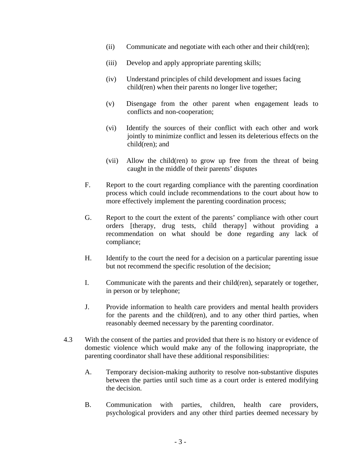- (ii) Communicate and negotiate with each other and their child(ren);
- (iii) Develop and apply appropriate parenting skills;
- (iv) Understand principles of child development and issues facing child(ren) when their parents no longer live together;
- (v) Disengage from the other parent when engagement leads to conflicts and non-cooperation;
- (vi) Identify the sources of their conflict with each other and work jointly to minimize conflict and lessen its deleterious effects on the child(ren); and
- (vii) Allow the child(ren) to grow up free from the threat of being caught in the middle of their parents' disputes
- F. Report to the court regarding compliance with the parenting coordination process which could include recommendations to the court about how to more effectively implement the parenting coordination process;
- G. Report to the court the extent of the parents' compliance with other court orders [therapy, drug tests, child therapy] without providing a recommendation on what should be done regarding any lack of compliance;
- H. Identify to the court the need for a decision on a particular parenting issue but not recommend the specific resolution of the decision;
- I. Communicate with the parents and their child(ren), separately or together, in person or by telephone;
- J. Provide information to health care providers and mental health providers for the parents and the child(ren), and to any other third parties, when reasonably deemed necessary by the parenting coordinator.
- 4.3 With the consent of the parties and provided that there is no history or evidence of domestic violence which would make any of the following inappropriate, the parenting coordinator shall have these additional responsibilities:
	- A. Temporary decision-making authority to resolve non-substantive disputes between the parties until such time as a court order is entered modifying the decision.
	- B. Communication with parties, children, health care providers, psychological providers and any other third parties deemed necessary by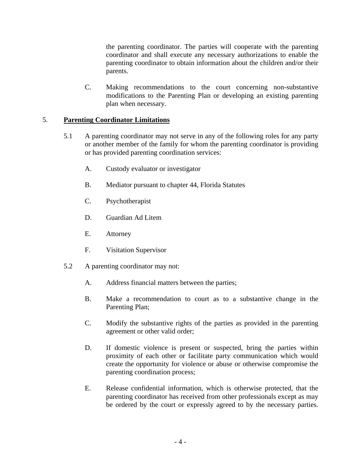the parenting coordinator. The parties will cooperate with the parenting coordinator and shall execute any necessary authorizations to enable the parenting coordinator to obtain information about the children and/or their parents.

C. Making recommendations to the court concerning non-substantive modifications to the Parenting Plan or developing an existing parenting plan when necessary.

# 5. **Parenting Coordinator Limitations**

- 5.1 A parenting coordinator may not serve in any of the following roles for any party or another member of the family for whom the parenting coordinator is providing or has provided parenting coordination services:
	- A. Custody evaluator or investigator
	- B. Mediator pursuant to chapter 44, Florida Statutes
	- C. Psychotherapist
	- D. Guardian Ad Litem
	- E. Attorney
	- F. Visitation Supervisor
- 5.2 A parenting coordinator may not:
	- A. Address financial matters between the parties;
	- B. Make a recommendation to court as to a substantive change in the Parenting Plan;
	- C. Modify the substantive rights of the parties as provided in the parenting agreement or other valid order;
	- D. If domestic violence is present or suspected, bring the parties within proximity of each other or facilitate party communication which would create the opportunity for violence or abuse or otherwise compromise the parenting coordination process;
	- E. Release confidential information, which is otherwise protected, that the parenting coordinator has received from other professionals except as may be ordered by the court or expressly agreed to by the necessary parties.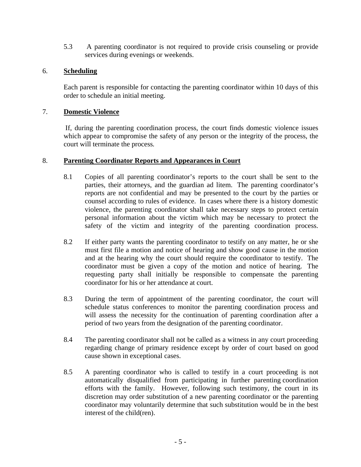5.3 A parenting coordinator is not required to provide crisis counseling or provide services during evenings or weekends.

## 6. **Scheduling**

 Each parent is responsible for contacting the parenting coordinator within 10 days of this order to schedule an initial meeting.

#### 7. **Domestic Violence**

If, during the parenting coordination process, the court finds domestic violence issues which appear to compromise the safety of any person or the integrity of the process, the court will terminate the process*.* 

### 8. **Parenting Coordinator Reports and Appearances in Court**

- 8.1 Copies of all parenting coordinator's reports to the court shall be sent to the parties, their attorneys, and the guardian ad litem. The parenting coordinator's reports are not confidential and may be presented to the court by the parties or counsel according to rules of evidence. In cases where there is a history domestic violence, the parenting coordinator shall take necessary steps to protect certain personal information about the victim which may be necessary to protect the safety of the victim and integrity of the parenting coordination process.
- 8.2 If either party wants the parenting coordinator to testify on any matter, he or she must first file a motion and notice of hearing and show good cause in the motion and at the hearing why the court should require the coordinator to testify. The coordinator must be given a copy of the motion and notice of hearing. The requesting party shall initially be responsible to compensate the parenting coordinator for his or her attendance at court.
- 8.3 During the term of appointment of the parenting coordinator, the court will schedule status conferences to monitor the parenting coordination process and will assess the necessity for the continuation of parenting coordination after a period of two years from the designation of the parenting coordinator.
- 8.4 The parenting coordinator shall not be called as a witness in any court proceeding regarding change of primary residence except by order of court based on good cause shown in exceptional cases.
- 8.5 A parenting coordinator who is called to testify in a court proceeding is not automatically disqualified from participating in further parenting coordination efforts with the family. However, following such testimony, the court in its discretion may order substitution of a new parenting coordinator or the parenting coordinator may voluntarily determine that such substitution would be in the best interest of the child(ren).